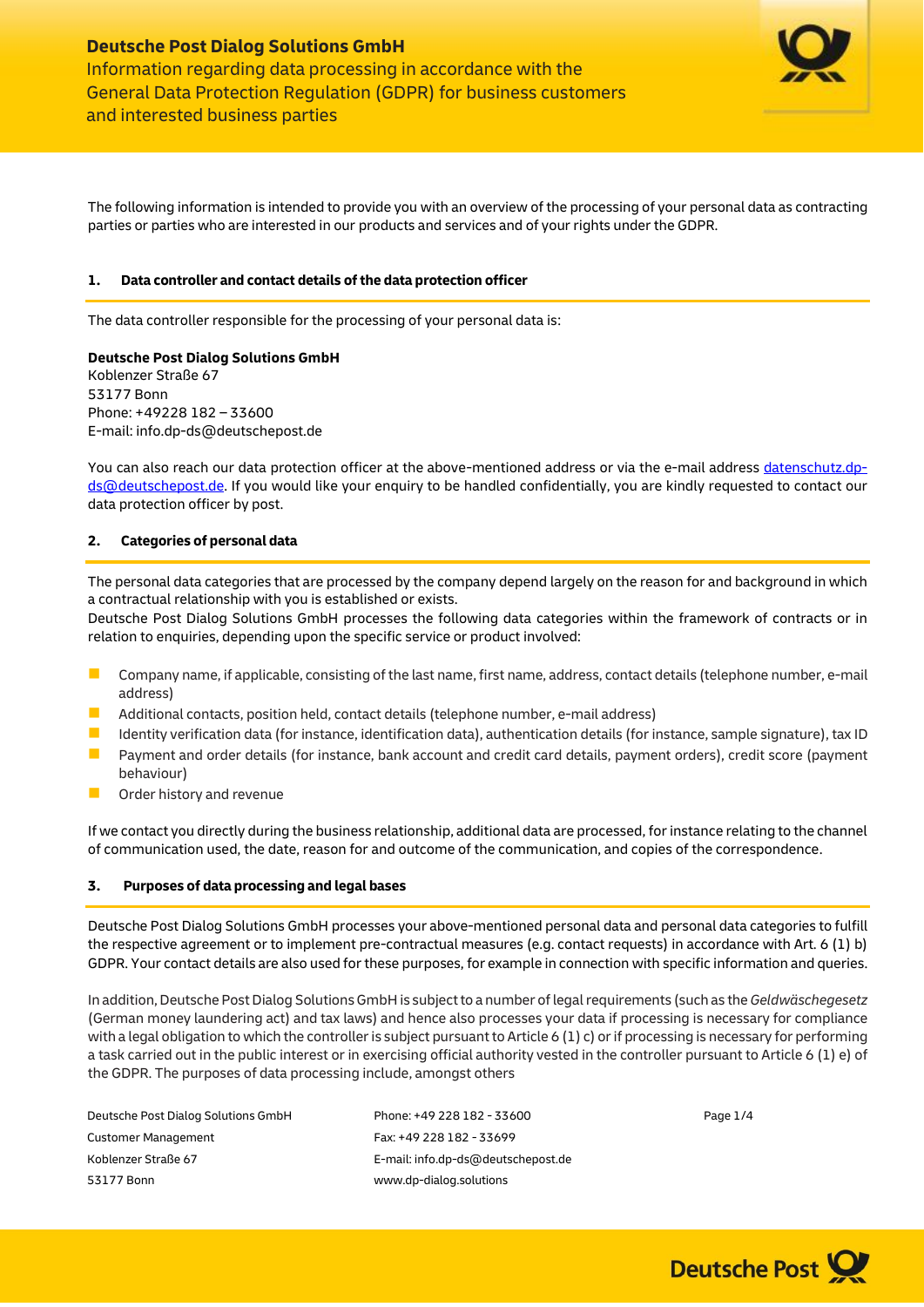

The following information is intended to provide you with an overview of the processing of your personal data as contracting parties or parties who are interested in our products and services and of your rights under the GDPR.

## **1. Data controller and contact details of the data protection officer**

The data controller responsible for the processing of your personal data is:

## **Deutsche Post Dialog Solutions GmbH**

Koblenzer Straße 67 53177 Bonn Phone: +49228 182 – 33600 E-mail: info.dp-ds@deutschepost.de

You can also reach our data protection officer at the above-mentioned address or via the e-mail address [datenschutz.dp](mailto:datenschutz.dp-ds@deutschepost.de)[ds@deutschepost.de.](mailto:datenschutz.dp-ds@deutschepost.de) If you would like your enquiry to be handled confidentially, you are kindly requested to contact our data protection officer by post.

## **2. Categories of personal data**

The personal data categories that are processed by the company depend largely on the reason for and background in which a contractual relationship with you is established or exists.

Deutsche Post Dialog Solutions GmbH processes the following data categories within the framework of contracts or in relation to enquiries, depending upon the specific service or product involved:

- **D** Company name, if applicable, consisting of the last name, first name, address, contact details (telephone number, e-mail address)
- $\blacksquare$  Additional contacts, position held, contact details (telephone number, e-mail address)
- Identity verification data (for instance, identification data), authentication details (for instance, sample signature), tax ID
- **Payment and order details (for instance, bank account and credit card details, payment orders), credit score (payment** behaviour)
- **Order history and revenue**

If we contact you directly during the business relationship, additional data are processed, for instance relating to the channel of communication used, the date, reason for and outcome of the communication, and copies of the correspondence.

## **3. Purposes of data processing and legal bases**

Deutsche Post Dialog Solutions GmbH processes your above-mentioned personal data and personal data categories to fulfill the respective agreement or to implement pre-contractual measures (e.g. contact requests) in accordance with Art. 6 (1) b) GDPR. Your contact details are also used for these purposes, for example in connection with specific information and queries.

In addition, Deutsche Post Dialog Solutions GmbHis subject to a number of legal requirements (such as the *Geldwäschegesetz* (German money laundering act) and tax laws) and hence also processes your data if processing is necessary for compliance with a legal obligation to which the controller is subject pursuant to Article 6 (1) c) or if processing is necessary for performing a task carried out in the public interest or in exercising official authority vested in the controller pursuant to Article 6 (1) e) of the GDPR. The purposes of data processing include, amongst others

| Phone: +49 228 182 - 33600         | Page 1/4 |
|------------------------------------|----------|
| Fax: +49 228 182 - 33699           |          |
| E-mail: info.dp-ds@deutschepost.de |          |
| www.dp-dialog.solutions            |          |
|                                    |          |

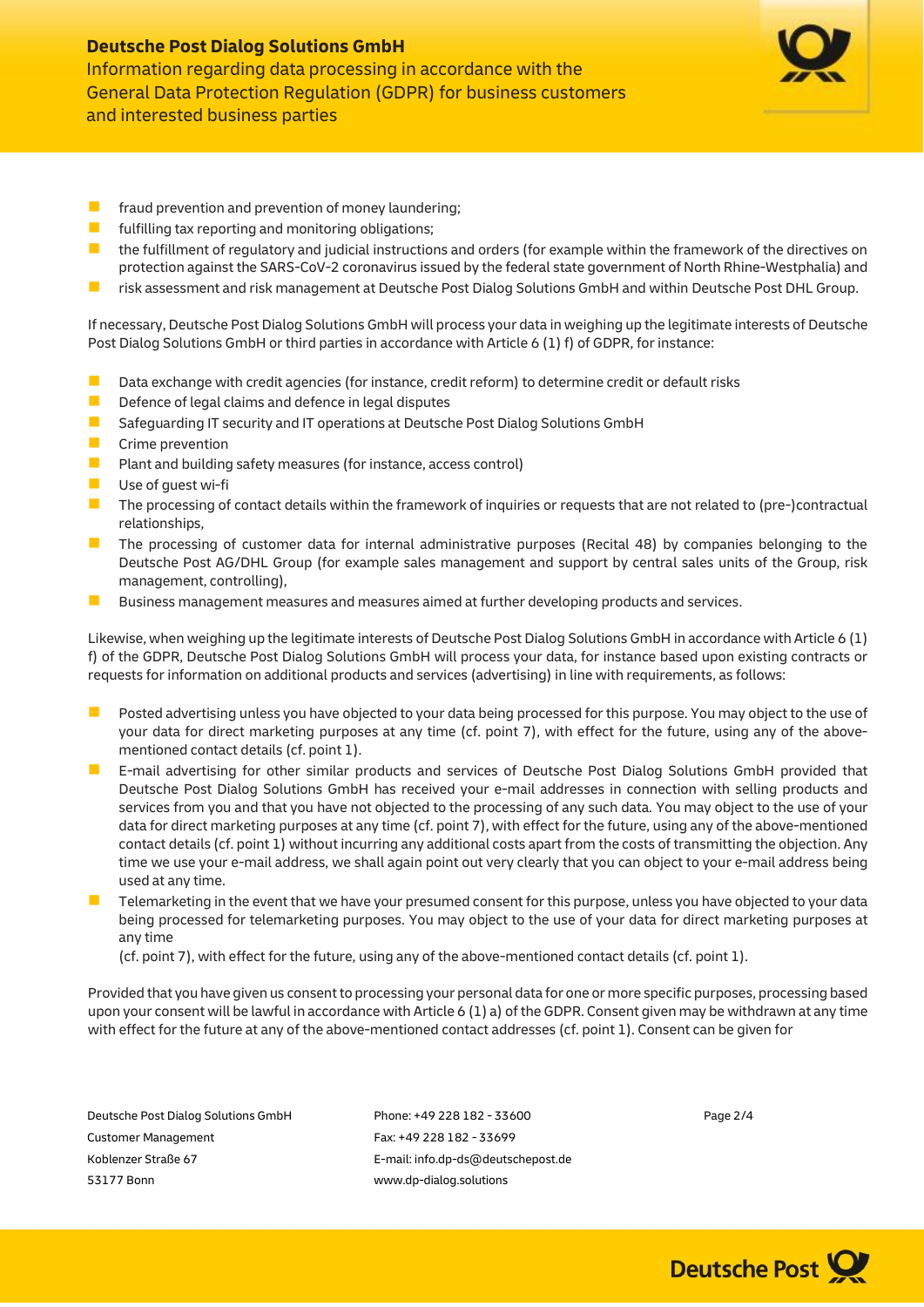

- **F** fraud prevention and prevention of money laundering;
- **F** fulfilling tax reporting and monitoring obligations;
- **In** the fulfillment of regulatory and judicial instructions and orders (for example within the framework of the directives on protection against the SARS-CoV-2 coronavirus issued by the federal state government of North Rhine-Westphalia) and
- risk assessment and risk management at Deutsche Post Dialog Solutions GmbH and within Deutsche Post DHL Group.

If necessary, Deutsche Post Dialog Solutions GmbH will process your data in weighing up the legitimate interests of Deutsche Post Dialog Solutions GmbH or third parties in accordance with Article 6 (1) f) of GDPR, for instance:

- Data exchange with credit agencies (for instance, credit reform) to determine credit or default risks
- Defence of legal claims and defence in legal disputes
- Safequarding IT security and IT operations at Deutsche Post Dialog Solutions GmbH
- **Crime prevention**
- **Plant and building safety measures (for instance, access control)**
- Use of quest wi-fi
- $\blacksquare$  The processing of contact details within the framework of inquiries or requests that are not related to (pre-)contractual relationships,
- **The processing of customer data for internal administrative purposes (Recital 48) by companies belonging to the** Deutsche Post AG/DHL Group (for example sales management and support by central sales units of the Group, risk management, controlling),
- Business management measures and measures aimed at further developing products and services.

Likewise, when weighing up the legitimate interests of Deutsche Post Dialog Solutions GmbH in accordance with Article 6 (1) f) of the GDPR, Deutsche Post Dialog Solutions GmbH will process your data, for instance based upon existing contracts or requests for information on additional products and services (advertising) in line with requirements, as follows:

- **Posted advertising unless you have objected to your data being processed for this purpose. You may object to the use of** your data for direct marketing purposes at any time (cf. point 7), with effect for the future, using any of the abovementioned contact details (cf. point 1).
- E-mail advertising for other similar products and services of Deutsche Post Dialog Solutions GmbH provided that Deutsche Post Dialog Solutions GmbH has received your e-mail addresses in connection with selling products and services from you and that you have not objected to the processing of any such data. You may object to the use of your data for direct marketing purposes at any time (cf. point 7), with effect for the future, using any of the above-mentioned contact details (cf. point 1) without incurring any additional costs apart from the costs of transmitting the objection. Any time we use your e-mail address, we shall again point out very clearly that you can object to your e-mail address being used at any time.
- Telemarketing in the event that we have your presumed consent for this purpose, unless you have objected to your data being processed for telemarketing purposes. You may object to the use of your data for direct marketing purposes at any time

(cf. point 7), with effect for the future, using any of the above-mentioned contact details (cf. point 1).

Provided that you have given us consent to processing your personal data for one or more specific purposes, processing based upon your consent will be lawful in accordance with Article 6 (1) a) of the GDPR. Consent given may be withdrawn at any time with effect for the future at any of the above-mentioned contact addresses (cf. point 1). Consent can be given for

Customer Management Fax: +49 228 182 - 33699 Koblenzer Straße 67 E-mail: info.dp-ds@deutschepost.de 53177 Bonn www.dp-dialog.solutions

Deutsche Post Dialog Solutions GmbH Phone: +49 228 182 - 33600 Page 2/4

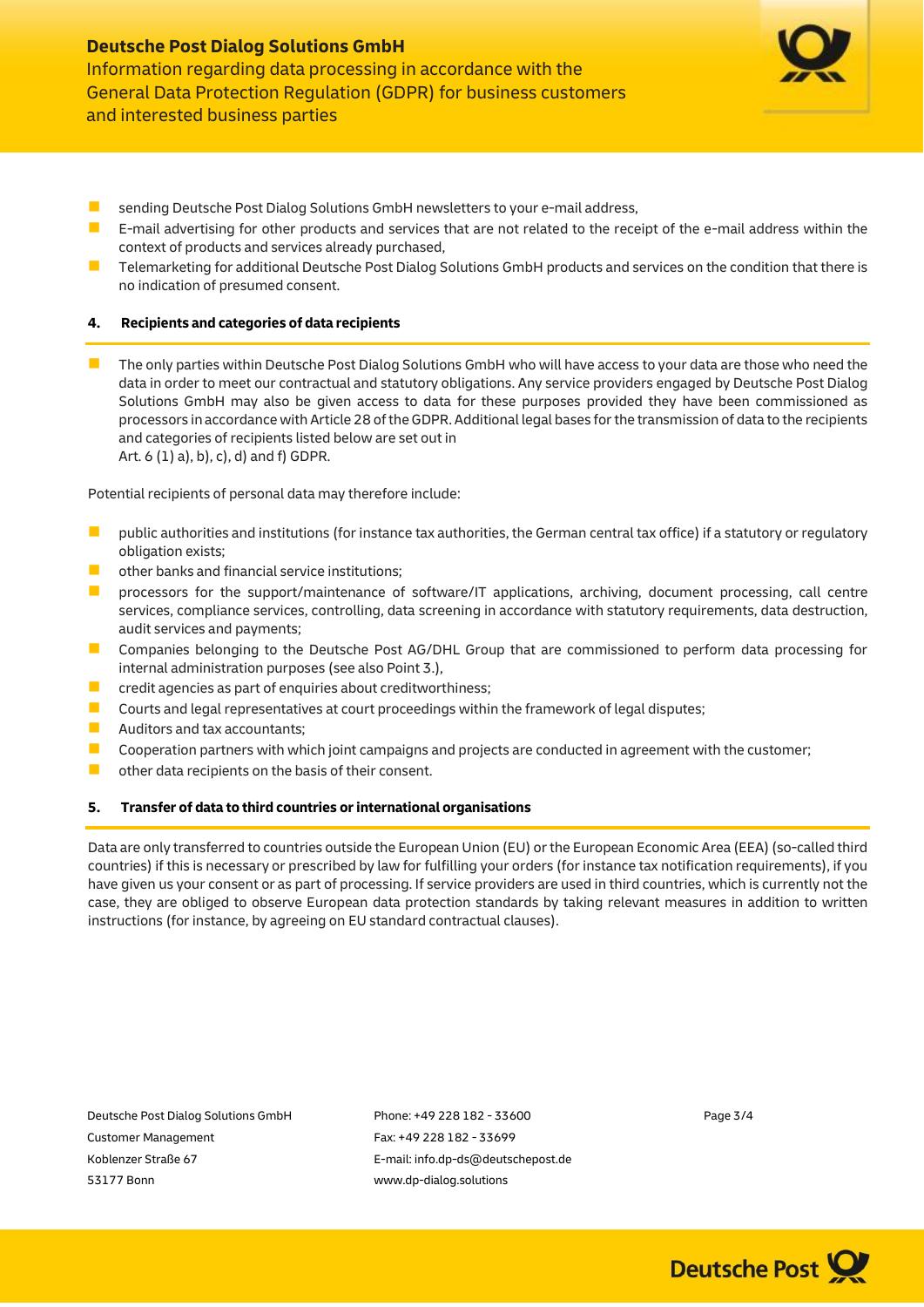

- sending Deutsche Post Dialog Solutions GmbH newsletters to your e-mail address,
- E-mail advertising for other products and services that are not related to the receipt of the e-mail address within the context of products and services already purchased,
- Telemarketing for additional Deutsche Post Dialog Solutions GmbH products and services on the condition that there is no indication of presumed consent.

## **4. Recipients and categories of data recipients**

The only parties within Deutsche Post Dialog Solutions GmbH who will have access to your data are those who need the data in order to meet our contractual and statutory obligations. Any service providers engaged by Deutsche Post Dialog Solutions GmbH may also be given access to data for these purposes provided they have been commissioned as processors in accordance with Article 28 of the GDPR. Additional legal bases for the transmission of data to the recipients and categories of recipients listed below are set out in Art. 6 (1) a), b), c), d) and f) GDPR.

Potential recipients of personal data may therefore include:

- **D** public authorities and institutions (for instance tax authorities, the German central tax office) if a statutory or regulatory obligation exists;
- $\Box$  other banks and financial service institutions:
- **P** processors for the support/maintenance of software/IT applications, archiving, document processing, call centre services, compliance services, controlling, data screening in accordance with statutory requirements, data destruction, audit services and payments;
- **Companies belonging to the Deutsche Post AG/DHL Group that are commissioned to perform data processing for** internal administration purposes (see also Point 3.),
- $\blacksquare$  credit agencies as part of enquiries about creditworthiness;
- **D** Courts and legal representatives at court proceedings within the framework of legal disputes;
- **Auditors and tax accountants;**
- Cooperation partners with which joint campaigns and projects are conducted in agreement with the customer;
- **D** other data recipients on the basis of their consent.

## **5. Transfer of data to third countries or international organisations**

Data are only transferred to countries outside the European Union (EU) or the European Economic Area (EEA) (so-called third countries) if this is necessary or prescribed by law for fulfilling your orders (for instance tax notification requirements), if you have given us your consent or as part of processing. If service providers are used in third countries, which is currently not the case, they are obliged to observe European data protection standards by taking relevant measures in addition to written instructions (for instance, by agreeing on EU standard contractual clauses).

Customer Management Fax: +49 228 182 - 33699 Koblenzer Straße 67 E-mail: info.dp-ds@deutschepost.de 53177 Bonn www.dp-dialog.solutions

Deutsche Post Dialog Solutions GmbH Phone: +49 228 182 - 33600 Page 3/4